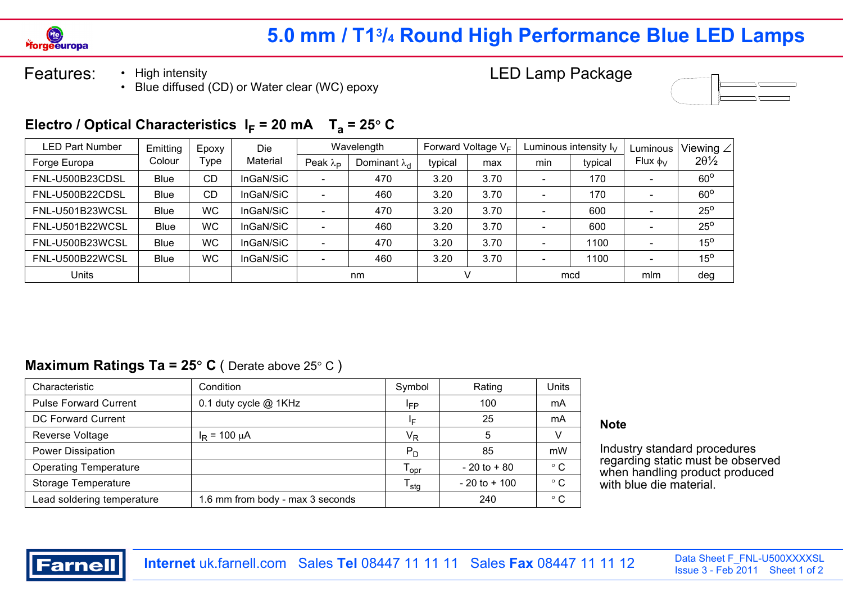

# **5.0 mm / T13/4 Round High Performance Blue LED Lamps**

Features: • High intensity • Blue diffused (CD) or Water clear (WC) epoxy LED Lamp Package



### Electro / Optical Characteristics  $I_F = 20$  mA  $T_a = 25^\circ$  C

| <b>LED Part Number</b> | Emitting    | Epoxy     | Die       |                          | Wavelength             |         | Forward Voltage $V_F$ |                          | Luminous intensity $I_V$ | Luminous        | Viewing $\angle  $ |
|------------------------|-------------|-----------|-----------|--------------------------|------------------------|---------|-----------------------|--------------------------|--------------------------|-----------------|--------------------|
| Forge Europa           | Colour      | ⊺ype      | Material  | Peak $\lambda_{\rm P}$   | Dominant $\lambda_{d}$ | typical | max                   | min                      | typical                  | Flux $\phi_{V}$ | $20\frac{1}{2}$    |
| FNL-U500B23CDSL        | <b>Blue</b> | CD        | InGaN/SiC | $\overline{\phantom{0}}$ | 470                    | 3.20    | 3.70                  | $\overline{\phantom{a}}$ | 170                      |                 | $60^\circ$         |
| FNL-U500B22CDSL        | Blue        | <b>CD</b> | InGaN/SiC | $\sim$                   | 460                    | 3.20    | 3.70                  |                          | 170                      |                 | $60^\circ$         |
| FNL-U501B23WCSL        | <b>Blue</b> | <b>WC</b> | InGaN/SiC | $\overline{\phantom{a}}$ | 470                    | 3.20    | 3.70                  | $\overline{\phantom{a}}$ | 600                      |                 | $25^{\circ}$       |
| FNL-U501B22WCSL        | <b>Blue</b> | <b>WC</b> | InGaN/SiC | $\overline{\phantom{0}}$ | 460                    | 3.20    | 3.70                  |                          | 600                      |                 | $25^{\circ}$       |
| FNL-U500B23WCSL        | Blue        | <b>WC</b> | InGaN/SiC | $\overline{\phantom{0}}$ | 470                    | 3.20    | 3.70                  |                          | 1100                     |                 | $15^{\circ}$       |
| FNL-U500B22WCSL        | <b>Blue</b> | <b>WC</b> | InGaN/SiC | -                        | 460                    | 3.20    | 3.70                  |                          | 1100                     |                 | $15^{\circ}$       |
| Units                  |             |           |           |                          | nm                     |         |                       |                          | mcd                      | mlm             | deg                |

#### **Maximum Ratings Ta =**  $25^{\circ}$  **C** ( Derate above  $25^{\circ}$  C )

| Characteristic               | Condition                        | Symbol                      | Rating          | Units        |
|------------------------------|----------------------------------|-----------------------------|-----------------|--------------|
| <b>Pulse Forward Current</b> | 0.1 duty cycle @ 1KHz            | <sup>I</sup> FP             | 100             | mA           |
| <b>DC Forward Current</b>    |                                  | ΙF                          | 25              | mA           |
| Reverse Voltage              | $I_R$ = 100 $\mu$ A              | V <sub>R</sub>              | 5               |              |
| Power Dissipation            |                                  | $P_D$                       | 85              | mW           |
| <b>Operating Temperature</b> |                                  | $T_{\text{opr}}$            | $-20$ to $+80$  | $^{\circ}$ C |
| Storage Temperature          |                                  | $\mathsf{T}_{\mathsf{stg}}$ | $-20$ to $+100$ | $^{\circ}$ C |
| Lead soldering temperature   | 1.6 mm from body - max 3 seconds |                             | 240             | $^{\circ}$ C |

#### **Note**

Industry standard procedures regarding static must be observed when handling product produced with blue die material.